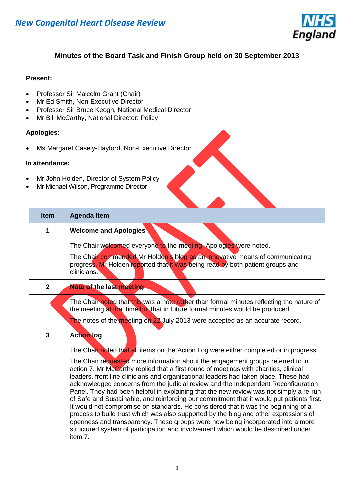

#### **Minutes of the Board Task and Finish Group held on 30 September 2013**

#### **Present:**

- Professor Sir Malcolm Grant (Chair)
- Mr Ed Smith, Non-Executive Director
- Professor Sir Bruce Keogh, National Medical Director
- Mr Bill McCarthy, National Director: Policy

#### **Apologies:**

Ms Margaret Casely-Hayford, Non-Executive Director

#### **In attendance:**

- Mr John Holden, Director of System Policy
- Mr Michael Wilson, Programme Director

| <b>Item</b>  | <b>Agenda Item</b>                                                                                                                                                                                                                                                                                                                                                                                                                                                                                                                                                                                                                                                                                                                                                                                                                                                                                             |
|--------------|----------------------------------------------------------------------------------------------------------------------------------------------------------------------------------------------------------------------------------------------------------------------------------------------------------------------------------------------------------------------------------------------------------------------------------------------------------------------------------------------------------------------------------------------------------------------------------------------------------------------------------------------------------------------------------------------------------------------------------------------------------------------------------------------------------------------------------------------------------------------------------------------------------------|
| 1            | <b>Welcome and Apologies</b>                                                                                                                                                                                                                                                                                                                                                                                                                                                                                                                                                                                                                                                                                                                                                                                                                                                                                   |
|              | The Chair welcomed everyone to the meeting. Apologies were noted.                                                                                                                                                                                                                                                                                                                                                                                                                                                                                                                                                                                                                                                                                                                                                                                                                                              |
|              | The Chair commended Mr Holden's blog as an innovative means of communicating<br>progress. Mr Holden reported that it was being read by both patient groups and<br>clinicians.                                                                                                                                                                                                                                                                                                                                                                                                                                                                                                                                                                                                                                                                                                                                  |
| $\mathbf{2}$ | Note of the last meeting                                                                                                                                                                                                                                                                                                                                                                                                                                                                                                                                                                                                                                                                                                                                                                                                                                                                                       |
|              | The Chair noted that this was a note rather than formal minutes reflecting the nature of<br>the meeting at that time but that in future formal minutes would be produced.                                                                                                                                                                                                                                                                                                                                                                                                                                                                                                                                                                                                                                                                                                                                      |
|              | The notes of the meeting on 22 July 2013 were accepted as an accurate record.                                                                                                                                                                                                                                                                                                                                                                                                                                                                                                                                                                                                                                                                                                                                                                                                                                  |
| 3            | <b>Action log</b>                                                                                                                                                                                                                                                                                                                                                                                                                                                                                                                                                                                                                                                                                                                                                                                                                                                                                              |
|              | The Chair noted that all items on the Action Log were either completed or in progress.                                                                                                                                                                                                                                                                                                                                                                                                                                                                                                                                                                                                                                                                                                                                                                                                                         |
|              | The Chair requested more information about the engagement groups referred to in<br>action 7. Mr McCarthy replied that a first round of meetings with charities, clinical<br>leaders, front line clinicians and organisational leaders had taken place. These had<br>acknowledged concerns from the judicial review and the Independent Reconfiguration<br>Panel. They had been helpful in explaining that the new review was not simply a re-run<br>of Safe and Sustainable, and reinforcing our commitment that it would put patients first.<br>It would not compromise on standards. He considered that it was the beginning of a<br>process to build trust which was also supported by the blog and other expressions of<br>openness and transparency. These groups were now being incorporated into a more<br>structured system of participation and involvement which would be described under<br>item 7. |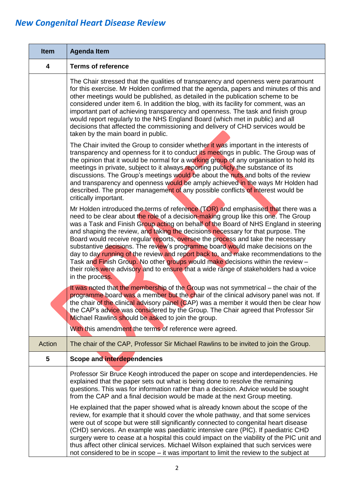| <b>Item</b>             | <b>Agenda Item</b>                                                                                                                                                                                                                                                                                                                                                                                                                                                                                                                                                                                                                                                                                                                                                                                                |
|-------------------------|-------------------------------------------------------------------------------------------------------------------------------------------------------------------------------------------------------------------------------------------------------------------------------------------------------------------------------------------------------------------------------------------------------------------------------------------------------------------------------------------------------------------------------------------------------------------------------------------------------------------------------------------------------------------------------------------------------------------------------------------------------------------------------------------------------------------|
| $\overline{\mathbf{4}}$ | <b>Terms of reference</b>                                                                                                                                                                                                                                                                                                                                                                                                                                                                                                                                                                                                                                                                                                                                                                                         |
|                         | The Chair stressed that the qualities of transparency and openness were paramount<br>for this exercise. Mr Holden confirmed that the agenda, papers and minutes of this and<br>other meetings would be published, as detailed in the publication scheme to be<br>considered under item 6. In addition the blog, with its facility for comment, was an<br>important part of achieving transparency and openness. The task and finish group<br>would report regularly to the NHS England Board (which met in public) and all<br>decisions that affected the commissioning and delivery of CHD services would be<br>taken by the main board in public.                                                                                                                                                               |
|                         | The Chair invited the Group to consider whether it was important in the interests of<br>transparency and openness for it to conduct its meetings in public. The Group was of<br>the opinion that it would be normal for a working group of any organisation to hold its<br>meetings in private, subject to it always reporting publicly the substance of its<br>discussions. The Group's meetings would be about the nuts and bolts of the review<br>and transparency and openness would be amply achieved in the ways Mr Holden had<br>described. The proper management of any possible conflicts of interest would be<br>critically important.                                                                                                                                                                  |
|                         | Mr Holden introduced the terms of reference (TOR) and emphasised that there was a<br>need to be clear about the role of a decision-making group like this one. The Group<br>was a Task and Finish Group acting on behalf of the Board of NHS England in steering<br>and shaping the review, and taking the decisions necessary for that purpose. The<br>Board would receive regular reports, oversee the process and take the necessary<br>substantive decisions. The review's programme board would make decisions on the<br>day to day running of the review and report back to, and make recommendations to the<br>Task and Finish Group. No other groups would make decisions within the review -<br>their roles were advisory and to ensure that a wide range of stakeholders had a voice<br>in the process. |
|                         | It was noted that the membership of the Group was not symmetrical – the chair of the<br>programme board was a member but the chair of the clinical advisory panel was not. If<br>the chair of the clinical advisory panel (CAP) was a member it would then be clear how<br>the CAP's advice was considered by the Group. The Chair agreed that Professor Sir<br>Michael Rawlins should be asked to join the group.<br>With this amendment the terms of reference were agreed.                                                                                                                                                                                                                                                                                                                                     |
| Action                  | The chair of the CAP, Professor Sir Michael Rawlins to be invited to join the Group.                                                                                                                                                                                                                                                                                                                                                                                                                                                                                                                                                                                                                                                                                                                              |
| 5                       | Scope and interdependencies                                                                                                                                                                                                                                                                                                                                                                                                                                                                                                                                                                                                                                                                                                                                                                                       |
|                         | Professor Sir Bruce Keogh introduced the paper on scope and interdependencies. He<br>explained that the paper sets out what is being done to resolve the remaining<br>questions. This was for information rather than a decision. Advice would be sought<br>from the CAP and a final decision would be made at the next Group meeting.                                                                                                                                                                                                                                                                                                                                                                                                                                                                            |
|                         | He explained that the paper showed what is already known about the scope of the<br>review, for example that it should cover the whole pathway, and that some services<br>were out of scope but were still significantly connected to congenital heart disease<br>(CHD) services. An example was paediatric intensive care (PIC). If paediatric CHD<br>surgery were to cease at a hospital this could impact on the viability of the PIC unit and<br>thus affect other clinical services. Michael Wilson explained that such services were<br>not considered to be in scope – it was important to limit the review to the subject at                                                                                                                                                                               |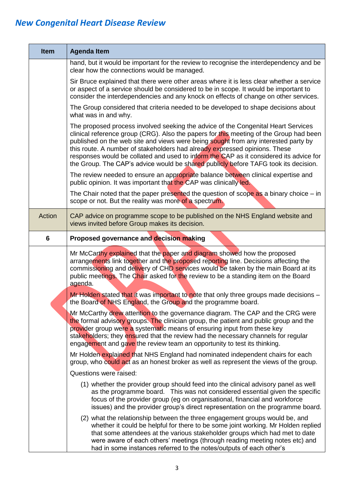| <b>Item</b> | <b>Agenda Item</b>                                                                                                                                                                                                                                                                                                                                                                                                                                                                                                               |
|-------------|----------------------------------------------------------------------------------------------------------------------------------------------------------------------------------------------------------------------------------------------------------------------------------------------------------------------------------------------------------------------------------------------------------------------------------------------------------------------------------------------------------------------------------|
|             | hand, but it would be important for the review to recognise the interdependency and be<br>clear how the connections would be managed.                                                                                                                                                                                                                                                                                                                                                                                            |
|             | Sir Bruce explained that there were other areas where it is less clear whether a service<br>or aspect of a service should be considered to be in scope. It would be important to<br>consider the interdependencies and any knock on effects of change on other services.                                                                                                                                                                                                                                                         |
|             | The Group considered that criteria needed to be developed to shape decisions about<br>what was in and why.                                                                                                                                                                                                                                                                                                                                                                                                                       |
|             | The proposed process involved seeking the advice of the Congenital Heart Services<br>clinical reference group (CRG). Also the papers for this meeting of the Group had been<br>published on the web site and views were being sought from any interested party by<br>this route. A number of stakeholders had already expressed opinions. These<br>responses would be collated and used to inform the CAP as it considered its advice for<br>the Group. The CAP's advice would be shared publicly before TAFG took its decision. |
|             | The review needed to ensure an appropriate balance between clinical expertise and<br>public opinion. It was important that the CAP was clinically led.                                                                                                                                                                                                                                                                                                                                                                           |
|             | The Chair noted that the paper presented the question of scope as a binary choice $-$ in<br>scope or not. But the reality was more of a spectrum.                                                                                                                                                                                                                                                                                                                                                                                |
| Action      | CAP advice on programme scope to be published on the NHS England website and<br>views invited before Group makes its decision.                                                                                                                                                                                                                                                                                                                                                                                                   |
| 6           | Proposed governance and decision making                                                                                                                                                                                                                                                                                                                                                                                                                                                                                          |
|             | Mr McCarthy explained that the paper and diagram showed how the proposed<br>arrangements link together and the proposed reporting line. Decisions affecting the<br>commissioning and delivery of CHD services would be taken by the main Board at its<br>public meetings. The Chair asked for the review to be a standing item on the Board<br>agenda.                                                                                                                                                                           |
|             | Mr Holden stated that it was important to note that only three groups made decisions -<br>the Board of NHS England, the Group and the programme board.                                                                                                                                                                                                                                                                                                                                                                           |
|             | Mr McCarthy drew attention to the governance diagram. The CAP and the CRG were<br>the formal advisory groups. The clinician group, the patient and public group and the<br>provider group were a systematic means of ensuring input from these key<br>stakeholders; they ensured that the review had the necessary channels for regular<br>engagement and gave the review team an opportunity to test its thinking.                                                                                                              |
|             | Mr Holden explained that NHS England had nominated independent chairs for each<br>group, who could act as an honest broker as well as represent the views of the group.                                                                                                                                                                                                                                                                                                                                                          |
|             | Questions were raised:                                                                                                                                                                                                                                                                                                                                                                                                                                                                                                           |
|             | (1) whether the provider group should feed into the clinical advisory panel as well<br>as the programme board. This was not considered essential given the specific<br>focus of the provider group (eg on organisational, financial and workforce<br>issues) and the provider group's direct representation on the programme board.                                                                                                                                                                                              |
|             | (2) what the relationship between the three engagement groups would be, and<br>whether it could be helpful for there to be some joint working. Mr Holden replied<br>that some attendees at the various stakeholder groups which had met to date<br>were aware of each others' meetings (through reading meeting notes etc) and<br>had in some instances referred to the notes/outputs of each other's                                                                                                                            |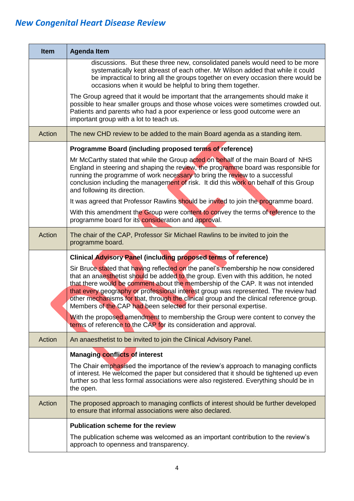| <b>Item</b> | <b>Agenda Item</b>                                                                                                                                                                                                                                                                                                                                                                                                                                                                                                     |
|-------------|------------------------------------------------------------------------------------------------------------------------------------------------------------------------------------------------------------------------------------------------------------------------------------------------------------------------------------------------------------------------------------------------------------------------------------------------------------------------------------------------------------------------|
|             | discussions. But these three new, consolidated panels would need to be more<br>systematically kept abreast of each other. Mr Wilson added that while it could<br>be impractical to bring all the groups together on every occasion there would be<br>occasions when it would be helpful to bring them together.                                                                                                                                                                                                        |
|             | The Group agreed that it would be important that the arrangements should make it<br>possible to hear smaller groups and those whose voices were sometimes crowded out.<br>Patients and parents who had a poor experience or less good outcome were an<br>important group with a lot to teach us.                                                                                                                                                                                                                       |
| Action      | The new CHD review to be added to the main Board agenda as a standing item.                                                                                                                                                                                                                                                                                                                                                                                                                                            |
|             | Programme Board (including proposed terms of reference)                                                                                                                                                                                                                                                                                                                                                                                                                                                                |
|             | Mr McCarthy stated that while the Group acted on behalf of the main Board of NHS<br>England in steering and shaping the review, the programme board was responsible for<br>running the programme of work necessary to bring the review to a successful<br>conclusion including the management of risk. It did this work on behalf of this Group<br>and following its direction.                                                                                                                                        |
|             | It was agreed that Professor Rawlins should be invited to join the programme board.                                                                                                                                                                                                                                                                                                                                                                                                                                    |
|             | With this amendment the Group were content to convey the terms of reference to the<br>programme board for its consideration and approval.                                                                                                                                                                                                                                                                                                                                                                              |
| Action      | The chair of the CAP, Professor Sir Michael Rawlins to be invited to join the<br>programme board.                                                                                                                                                                                                                                                                                                                                                                                                                      |
|             | Clinical Advisory Panel (including proposed terms of reference)                                                                                                                                                                                                                                                                                                                                                                                                                                                        |
|             | Sir Bruce stated that having reflected on the panel's membership he now considered<br>that an anaesthetist should be added to the group. Even with this addition, he noted<br>that there would be comment about the membership of the CAP. It was not intended<br>that every geography or professional interest group was represented. The review had<br>other mechanisms for that, through the clinical group and the clinical reference group.<br>Members of the CAP had been selected for their personal expertise. |
|             | With the proposed amendment to membership the Group were content to convey the<br>terms of reference to the CAP for its consideration and approval.                                                                                                                                                                                                                                                                                                                                                                    |
| Action      | An anaesthetist to be invited to join the Clinical Advisory Panel.                                                                                                                                                                                                                                                                                                                                                                                                                                                     |
|             | <b>Managing conflicts of interest</b>                                                                                                                                                                                                                                                                                                                                                                                                                                                                                  |
|             | The Chair emphasised the importance of the review's approach to managing conflicts<br>of interest. He welcomed the paper but considered that it should be tightened up even<br>further so that less formal associations were also registered. Everything should be in<br>the open.                                                                                                                                                                                                                                     |
| Action      | The proposed approach to managing conflicts of interest should be further developed<br>to ensure that informal associations were also declared.                                                                                                                                                                                                                                                                                                                                                                        |
|             | <b>Publication scheme for the review</b>                                                                                                                                                                                                                                                                                                                                                                                                                                                                               |
|             | The publication scheme was welcomed as an important contribution to the review's<br>approach to openness and transparency.                                                                                                                                                                                                                                                                                                                                                                                             |